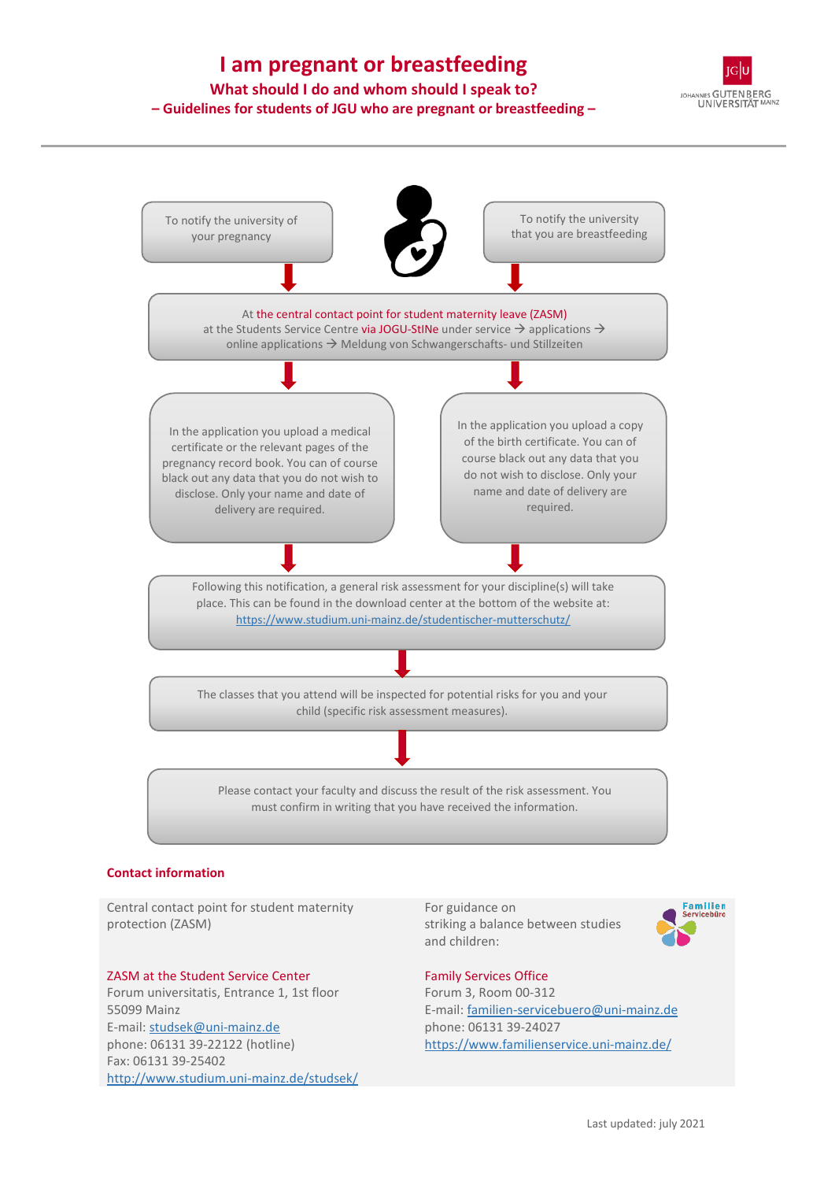# **I am pregnant or breastfeeding**

## **What should I do and whom should I speak to? – Guidelines for students of JGU who are pregnant or breastfeeding –**





Central contact point for student maternity protection (ZASM)

#### ZASM at the Student Service Center

Forum universitatis, Entrance 1, 1st floor 55099 Mainz E-mail: studsek@uni-mainz.de phone: 06131 39-22122 (hotline) Fax: 06131 39-25402 <http://www.studium.uni-mainz.de/studsek/> For guidance on striking a balance between studies and children:



#### Family Services Office Forum 3, Room 00-312 E-mail: [familien-servicebuero@uni-mainz.de](mailto:familien-servicebuero@uni-mainz.de) phone: 06131 39-24027 https://www.familienservice.uni-mainz.de/